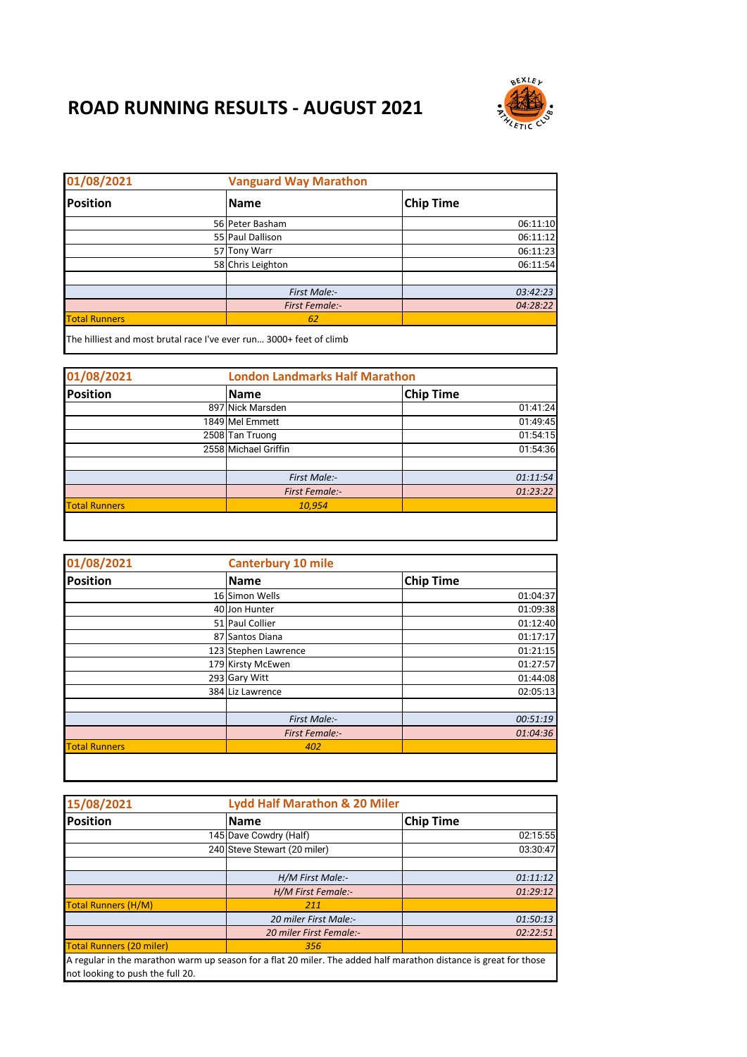## **ROAD RUNNING RESULTS - AUGUST 2021**



| 01/08/2021                                                          | <b>Vanguard Way Marathon</b> |                  |
|---------------------------------------------------------------------|------------------------------|------------------|
| <b>Position</b>                                                     | <b>Name</b>                  | <b>Chip Time</b> |
|                                                                     | 56 Peter Basham              | 06:11:10         |
|                                                                     | 55 Paul Dallison             | 06:11:12         |
|                                                                     | 57 Tony Warr                 | 06:11:23         |
|                                                                     | 58 Chris Leighton            | 06:11:54         |
|                                                                     |                              |                  |
|                                                                     | First Male:-                 | 03:42:23         |
|                                                                     | <b>First Female:-</b>        | 04:28:22         |
| <b>Total Runners</b>                                                | 62                           |                  |
| The hilliest and most brutal race I've ever run 3000+ feet of climb |                              |                  |

| 01/08/2021           |  | <b>London Landmarks Half Marathon</b> |                  |
|----------------------|--|---------------------------------------|------------------|
| Position             |  | <b>Name</b>                           | <b>Chip Time</b> |
|                      |  | 897 Nick Marsden                      | 01:41:24         |
|                      |  | 1849 Mel Emmett                       | 01:49:45         |
|                      |  | 2508 Tan Truong                       | 01:54:15         |
|                      |  | 2558 Michael Griffin                  | 01:54:36         |
|                      |  |                                       |                  |
|                      |  | First Male:-                          | 01:11:54         |
|                      |  | <b>First Female:-</b>                 | 01:23:22         |
| <b>Total Runners</b> |  | 10,954                                |                  |

| <b>Canterbury 10 mile</b> |                                                                                                                                                         |                      |
|---------------------------|---------------------------------------------------------------------------------------------------------------------------------------------------------|----------------------|
| Name                      | <b>Chip Time</b>                                                                                                                                        |                      |
|                           |                                                                                                                                                         | 01:04:37             |
|                           |                                                                                                                                                         | 01:09:38             |
|                           |                                                                                                                                                         | 01:12:40             |
|                           |                                                                                                                                                         | 01:17:17             |
|                           |                                                                                                                                                         | 01:21:15             |
|                           |                                                                                                                                                         | 01:27:57             |
|                           |                                                                                                                                                         | 01:44:08             |
|                           |                                                                                                                                                         | 02:05:13             |
|                           |                                                                                                                                                         |                      |
| First Male:-              |                                                                                                                                                         |                      |
| <b>First Female:-</b>     |                                                                                                                                                         |                      |
| 402                       |                                                                                                                                                         |                      |
|                           | 16 Simon Wells<br>40 Jon Hunter<br>51 Paul Collier<br>87 Santos Diana<br>123 Stephen Lawrence<br>179 Kirsty McEwen<br>293 Gary Witt<br>384 Liz Lawrence | 00:51:19<br>01:04:36 |

| 15/08/2021                       | <b>Lydd Half Marathon &amp; 20 Miler</b>                                                                          |                  |
|----------------------------------|-------------------------------------------------------------------------------------------------------------------|------------------|
| <b>Position</b>                  | <b>Name</b>                                                                                                       | <b>Chip Time</b> |
|                                  | 145 Dave Cowdry (Half)                                                                                            | 02:15:55         |
|                                  | 240 Steve Stewart (20 miler)                                                                                      | 03:30:47         |
|                                  |                                                                                                                   |                  |
|                                  | H/M First Male:-                                                                                                  | 01:11:12         |
|                                  | H/M First Female:-                                                                                                | 01:29:12         |
| <b>Total Runners (H/M)</b>       | 211                                                                                                               |                  |
|                                  | 20 miler First Male:-                                                                                             | 01:50:13         |
|                                  | 20 miler First Female:-                                                                                           | 02:22:51         |
| <b>Total Runners (20 miler)</b>  | 356                                                                                                               |                  |
| not looking to push the full 20. | A regular in the marathon warm up season for a flat 20 miler. The added half marathon distance is great for those |                  |